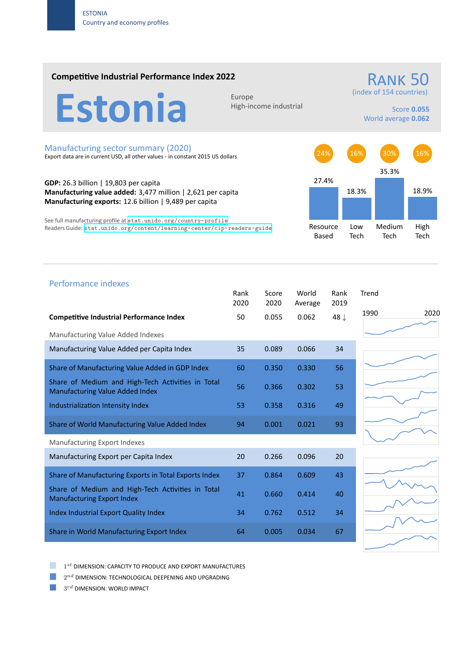## **Competitive Industrial Performance Index 2022**

Estonia

High‐income industrial

(index of 154 countries)

RANK 50

Score **0.055** World average **0.062**

#### Manufacturing sector summary (2020)

Export data are in current USD, all other values ‐ in constant 2015 US dollars

**GDP:** 26.3 billion | 19,803 per capita **Manufacturing value added:** 3,477 million | 2,621 per capita **Manufacturing exports:** 12.6 billion | 9,489 per capita

See full manufacturing profile at stat.unido.org/country-profile Readers Guide: stat.unido.org/content/learning-center/cip-readers-guide



# Performance indexes Rank Score World Rank Trend 2020 2020 Average 2019 **Competitive Industrial Performance Index** 50 0.055 0.062 48 *↓* Manufacturing Value Added Indexes Manufacturing Value Added per Capita Index 35 0.089 0.066 34 Share of Manufacturing Value Added in GDP Index 60 0.350 0.330 56 Share of Medium and High‐Tech Activities in Total Share of Medium and High-fech Activities in Total 56 0.366 0.302 53<br>Manufacturing Value Added Index Industrialization Intensity Index 53 0.358 0.316 49 Share of World Manufacturing Value Added Index 94 0.001 0.021 93 Manufacturing Export Indexes Manufacturing Export per Capita Index 20 0.266 0.096 20 Share of Manufacturing Exports in Total Exports Index 37 0.864 0.609 43 Share of Medium and High‐Tech Activities in Total Share of Medium and High-fech Activities in fotor 41 0.660 0.414 40 Index Industrial Export Quality Index 34 0.762 0.512 34 Share in World Manufacturing Export Index 64 0.005 0.034 67







1 *st* DIMENSION: CAPACITY TO PRODUCE AND EXPORT MANUFACTURES

 $2^{nd}$  DIMENSION: TECHNOLOGICAL DEEPENING AND UPGRADING

 $3^{rd}$  DIMENSION: WORLD IMPACT